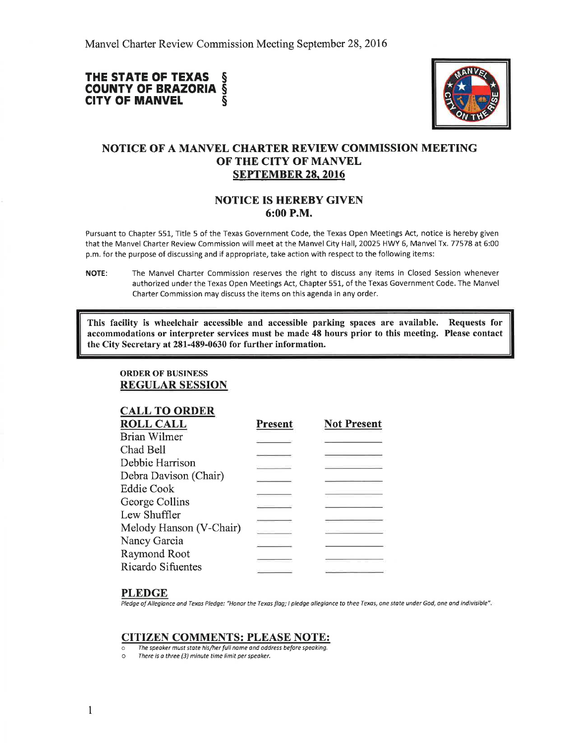## THE STATE OF TEXAS §<br>COUNTY OF BRAZORIA § **COUNTY OF BRAZORIA §**<br>CITY OF MANVEL **CITY OF MANVEL**



# NOTICE OF A MANVEL CHARTER REVIEW COMMISSION MEETING OF THE CITY OF MANVEL SEPTEMBER 28.2016

### **NOTICE IS HEREBY GIVEN** 6:00 P.M.

Pursuant to Chapter 551, Title 5 of the Texas Government Code, the Texas Open Meetings Act, notice is hereby given that the Manvel Charter Review Commission will meet at the Manvel City Hall, 20025 HWY 6, Manvel Tx. 77578 at 6:00 p.m. for the purpose of discussing and if appropriate, take action with respect to the following items:

This facility is wheelchair accessible and accessible parking spaces are available. Requests for accommodations or interpreter services must be made 48 hours prior to this meeting. Please contact the City Secretary at 281-489-0630 for further information.

ORDER OF BUSINESS REGULAR SESSION

|  | <b>CALL TO ORDER</b> |
|--|----------------------|
|  |                      |

| <b>Not Present</b> |
|--------------------|
|                    |
|                    |
|                    |
|                    |
|                    |
|                    |
|                    |
|                    |
|                    |
|                    |
|                    |
|                    |

## PLEDGE

Pledge of Allegiance and Texas Pledge: "Honor the Texas flag; I pledge allegiance to thee Texas, one state under God, one and indivisible".

#### CITIZEN COMMENTS: PLEASE NOTE:

- The speoker must state his/her full name and oddress before speaking.<br>Only there is a three (3) minute time limit per speaker.
- There is a three (3) minute time limit per speaker.

NOTE: The Manvel Charter Commission reserves the right to discuss any items in Closed Session whenever authorized under the Texas Open Meetings Act, Chapter 55L, of the Texas Government Code. The Manvel Charter Commission may discuss the items on this agenda in any order.